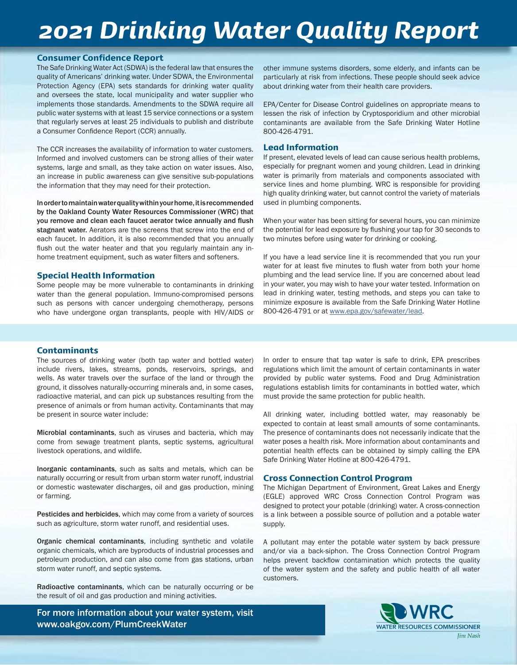## *2021 Drinking Water Quality Report*

#### Consumer Confidence Report

The Safe Drinking Water Act (SDWA) is the federal law that ensures the quality of Americans' drinking water. Under SDWA, the Environmental Protection Agency (EPA) sets standards for drinking water quality and oversees the state, local municipality and water supplier who implements those standards. Amendments to the SDWA require all public water systems with at least 15 service connections or a system that regularly serves at least 25 individuals to publish and distribute a Consumer Confidence Report (CCR) annually.

The CCR increases the availability of information to water customers. Informed and involved customers can be strong allies of their water systems, large and small, as they take action on water issues. Also, an increase in public awareness can give sensitive sub-populations the information that they may need for their protection.

In order to maintain water quality within your home, it is recommended by the Oakland County Water Resources Commissioner (WRC) that you remove and clean each faucet aerator twice annually and flush stagnant water. Aerators are the screens that screw into the end of each faucet. In addition, it is also recommended that you annually flush out the water heater and that you regularly maintain any inhome treatment equipment, such as water filters and softeners.

#### Special Health Information

Some people may be more vulnerable to contaminants in drinking water than the general population. Immuno-compromised persons such as persons with cancer undergoing chemotherapy, persons who have undergone organ transplants, people with HIV/AIDS or

other immune systems disorders, some elderly, and infants can be particularly at risk from infections. These people should seek advice about drinking water from their health care providers.

EPA/Center for Disease Control guidelines on appropriate means to lessen the risk of infection by Cryptosporidium and other microbial contaminants are available from the Safe Drinking Water Hotline 800-426-4791.

#### Lead Information

If present, elevated levels of lead can cause serious health problems, especially for pregnant women and young children. Lead in drinking water is primarily from materials and components associated with service lines and home plumbing. WRC is responsible for providing high quality drinking water, but cannot control the variety of materials used in plumbing components.

When your water has been sitting for several hours, you can minimize the potential for lead exposure by flushing your tap for 30 seconds to two minutes before using water for drinking or cooking.

If you have a lead service line it is recommended that you run your water for at least five minutes to flush water from both your home plumbing and the lead service line. If you are concerned about lead in your water, you may wish to have your water tested. Information on lead in drinking water, testing methods, and steps you can take to minimize exposure is available from the Safe Drinking Water Hotline 800-426-4791 or at www.epa.gov/safewater/lead.

#### **Contaminants**

The sources of drinking water (both tap water and bottled water) include rivers, lakes, streams, ponds, reservoirs, springs, and wells. As water travels over the surface of the land or through the ground, it dissolves naturally-occurring minerals and, in some cases, radioactive material, and can pick up substances resulting from the presence of animals or from human activity. Contaminants that may be present in source water include:

Microbial contaminants, such as viruses and bacteria, which may come from sewage treatment plants, septic systems, agricultural livestock operations, and wildlife.

Inorganic contaminants, such as salts and metals, which can be naturally occurring or result from urban storm water runoff, industrial or domestic wastewater discharges, oil and gas production, mining or farming.

Pesticides and herbicides, which may come from a variety of sources such as agriculture, storm water runoff, and residential uses.

Organic chemical contaminants, including synthetic and volatile organic chemicals, which are byproducts of industrial processes and petroleum production, and can also come from gas stations, urban storm water runoff, and septic systems.

Radioactive contaminants, which can be naturally occurring or be the result of oil and gas production and mining activities.

For more information about your water system, visit www.oakgov.com/PlumCreekWater

In order to ensure that tap water is safe to drink, EPA prescribes regulations which limit the amount of certain contaminants in water provided by public water systems. Food and Drug Administration regulations establish limits for contaminants in bottled water, which must provide the same protection for public health.

All drinking water, including bottled water, may reasonably be expected to contain at least small amounts of some contaminants. The presence of contaminants does not necessarily indicate that the water poses a health risk. More information about contaminants and potential health effects can be obtained by simply calling the EPA Safe Drinking Water Hotline at 800-426-4791.

#### Cross Connection Control Program

The Michigan Department of Environment, Great Lakes and Energy (EGLE) approved WRC Cross Connection Control Program was designed to protect your potable (drinking) water. A cross-connection is a link between a possible source of pollution and a potable water supply.

A pollutant may enter the potable water system by back pressure and/or via a back-siphon. The Cross Connection Control Program helps prevent backflow contamination which protects the quality of the water system and the safety and public health of all water customers.

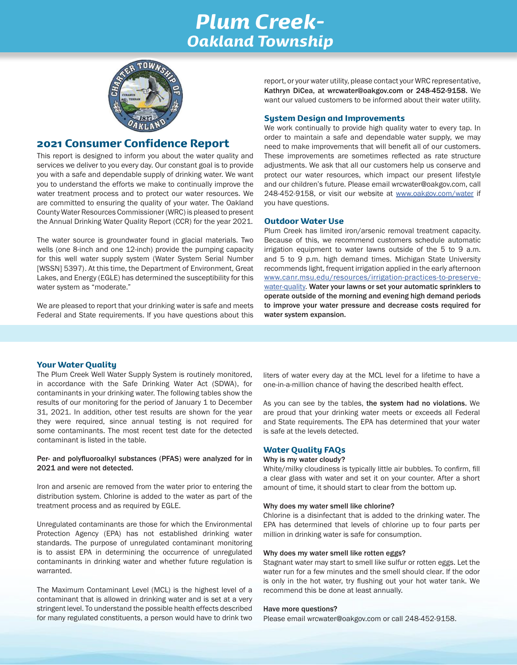## *Plum Creek-Oakland Township*



## 2021 Consumer Confidence Report

This report is designed to inform you about the water quality and services we deliver to you every day. Our constant goal is to provide you with a safe and dependable supply of drinking water. We want you to understand the efforts we make to continually improve the water treatment process and to protect our water resources. We are committed to ensuring the quality of your water. The Oakland County Water Resources Commissioner (WRC) is pleased to present the Annual Drinking Water Quality Report (CCR) for the year 2021.

The water source is groundwater found in glacial materials. Two wells (one 8-inch and one 12-inch) provide the pumping capacity for this well water supply system (Water System Serial Number [WSSN] 5397). At this time, the Department of Environment, Great Lakes, and Energy (EGLE) has determined the susceptibility for this water system as "moderate."

We are pleased to report that your drinking water is safe and meets Federal and State requirements. If you have questions about this

report, or your water utility, please contact your WRC representative, Kathryn DiCea, at wrcwater@oakgov.com or 248-452-9158. We want our valued customers to be informed about their water utility.

#### System Design and Improvements

We work continually to provide high quality water to every tap. In order to maintain a safe and dependable water supply, we may need to make improvements that will benefit all of our customers. These improvements are sometimes reflected as rate structure adjustments. We ask that all our customers help us conserve and protect our water resources, which impact our present lifestyle and our children's future. Please email wrcwater@oakgov.com, call 248-452-9158, or visit our website at www.oakgov.com/water if you have questions.

#### Outdoor Water Use

Plum Creek has limited iron/arsenic removal treatment capacity. Because of this, we recommend customers schedule automatic irrigation equipment to water lawns outside of the 5 to 9 a.m. and 5 to 9 p.m. high demand times. Michigan State University recommends light, frequent irrigation applied in the early afternoon www.canr.msu.edu/resources/irrigation-practices-to-preservewater-quality. Water your lawns or set your automatic sprinklers to operate outside of the morning and evening high demand periods to improve your water pressure and decrease costs required for water system expansion.

#### Your Water Quality

The Plum Creek Well Water Supply System is routinely monitored, in accordance with the Safe Drinking Water Act (SDWA), for contaminants in your drinking water. The following tables show the results of our monitoring for the period of January 1 to December 31, 2021. In addition, other test results are shown for the year they were required, since annual testing is not required for some contaminants. The most recent test date for the detected contaminant is listed in the table.

#### Per- and polyfluoroalkyl substances (PFAS) were analyzed for in 2021 and were not detected.

Iron and arsenic are removed from the water prior to entering the distribution system. Chlorine is added to the water as part of the treatment process and as required by EGLE.

Unregulated contaminants are those for which the Environmental Protection Agency (EPA) has not established drinking water standards. The purpose of unregulated contaminant monitoring is to assist EPA in determining the occurrence of unregulated contaminants in drinking water and whether future regulation is warranted.

The Maximum Contaminant Level (MCL) is the highest level of a contaminant that is allowed in drinking water and is set at a very stringent level. To understand the possible health effects described for many regulated constituents, a person would have to drink two

liters of water every day at the MCL level for a lifetime to have a one-in-a-million chance of having the described health effect.

As you can see by the tables, the system had no violations. We are proud that your drinking water meets or exceeds all Federal and State requirements. The EPA has determined that your water is safe at the levels detected.

#### Water Quality FAQs

#### Why is my water cloudy?

White/milky cloudiness is typically little air bubbles. To confirm, fill a clear glass with water and set it on your counter. After a short amount of time, it should start to clear from the bottom up.

#### Why does my water smell like chlorine?

Chlorine is a disinfectant that is added to the drinking water. The EPA has determined that levels of chlorine up to four parts per million in drinking water is safe for consumption.

#### Why does my water smell like rotten eggs?

Stagnant water may start to smell like sulfur or rotten eggs. Let the water run for a few minutes and the smell should clear. If the odor is only in the hot water, try flushing out your hot water tank. We recommend this be done at least annually.

#### Have more questions?

Please email wrcwater@oakgov.com or call 248-452-9158.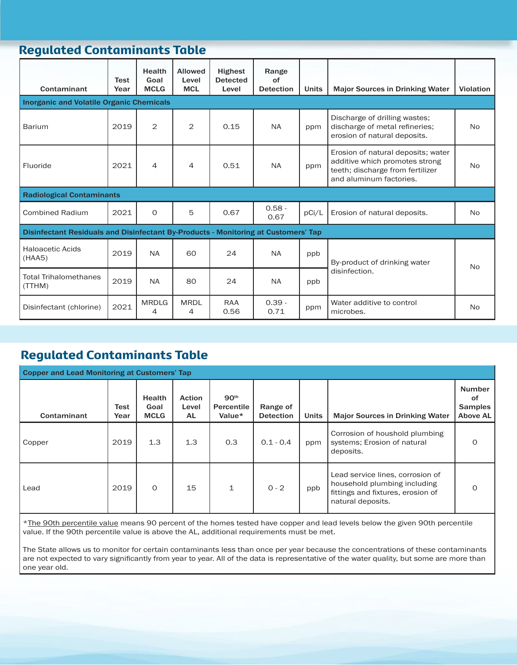## Regulated Contaminants Table

| Contaminant                                                                        | <b>Test</b><br>Year | <b>Health</b><br>Goal<br><b>MCLG</b> | <b>Allowed</b><br>Level<br><b>MCL</b> | <b>Highest</b><br><b>Detected</b><br>Level | Range<br>of<br><b>Detection</b> | <b>Units</b> | <b>Major Sources in Drinking Water</b>                                                                                              | <b>Violation</b> |  |
|------------------------------------------------------------------------------------|---------------------|--------------------------------------|---------------------------------------|--------------------------------------------|---------------------------------|--------------|-------------------------------------------------------------------------------------------------------------------------------------|------------------|--|
| <b>Inorganic and Volatile Organic Chemicals</b>                                    |                     |                                      |                                       |                                            |                                 |              |                                                                                                                                     |                  |  |
| Barium                                                                             | 2019                | $\overline{2}$                       | $\overline{2}$                        | 0.15                                       | <b>NA</b>                       | ppm          | Discharge of drilling wastes;<br>discharge of metal refineries;<br>erosion of natural deposits.                                     | N <sub>o</sub>   |  |
| Fluoride                                                                           | 2021                | 4                                    | 4                                     | 0.51                                       | <b>NA</b>                       | ppm          | Erosion of natural deposits; water<br>additive which promotes strong<br>teeth; discharge from fertilizer<br>and aluminum factories. | <b>No</b>        |  |
| <b>Radiological Contaminants</b>                                                   |                     |                                      |                                       |                                            |                                 |              |                                                                                                                                     |                  |  |
| <b>Combined Radium</b>                                                             | 2021                | $\Omega$                             | 5                                     | 0.67                                       | $0.58 -$<br>0.67                | pCi/L        | Erosion of natural deposits.                                                                                                        | <b>No</b>        |  |
| Disinfectant Residuals and Disinfectant By-Products - Monitoring at Customers' Tap |                     |                                      |                                       |                                            |                                 |              |                                                                                                                                     |                  |  |
| <b>Haloacetic Acids</b><br>(HAA5)                                                  | 2019                | <b>NA</b>                            | 60                                    | 24                                         | <b>NA</b>                       | ppb          | By-product of drinking water                                                                                                        | N <sub>o</sub>   |  |
| <b>Total Trihalomethanes</b><br>(TTHM)                                             | 2019                | <b>NA</b>                            | 80                                    | 24                                         | <b>NA</b>                       | ppb          | disinfection.                                                                                                                       |                  |  |
| Disinfectant (chlorine)                                                            | 2021                | <b>MRDLG</b><br>4                    | <b>MRDL</b><br>4                      | <b>RAA</b><br>0.56                         | $0.39 -$<br>0.71                | ppm          | Water additive to control<br>microbes.                                                                                              | <b>No</b>        |  |

## Regulated Contaminants Table

| <b>Copper and Lead Monitoring at Customers' Tap</b> |              |                                      |                               |                                          |                              |              |                                                                                                                            |                                                   |  |
|-----------------------------------------------------|--------------|--------------------------------------|-------------------------------|------------------------------------------|------------------------------|--------------|----------------------------------------------------------------------------------------------------------------------------|---------------------------------------------------|--|
| Contaminant                                         | Test<br>Year | <b>Health</b><br>Goal<br><b>MCLG</b> | <b>Action</b><br>Level<br>AL. | 90 <sup>th</sup><br>Percentile<br>Value* | Range of<br><b>Detection</b> | <b>Units</b> | <b>Major Sources in Drinking Water</b>                                                                                     | <b>Number</b><br>οf<br><b>Samples</b><br>Above AL |  |
| Copper                                              | 2019         | 1.3                                  | 1.3                           | 0.3                                      | $0.1 - 0.4$                  | ppm          | Corrosion of houshold plumbing<br>systems; Erosion of natural<br>deposits.                                                 | $\Omega$                                          |  |
| Lead                                                | 2019         | $\Omega$                             | 15                            | $\mathbf{1}$                             | $0 - 2$                      | ppb          | Lead service lines, corrosion of<br>household plumbing including<br>fittings and fixtures, erosion of<br>natural deposits. | $\Omega$                                          |  |

\*The 90th percentile value means 90 percent of the homes tested have copper and lead levels below the given 90th percentile value. If the 90th percentile value is above the AL, additional requirements must be met.

The State allows us to monitor for certain contaminants less than once per year because the concentrations of these contaminants are not expected to vary significantly from year to year. All of the data is representative of the water quality, but some are more than one year old.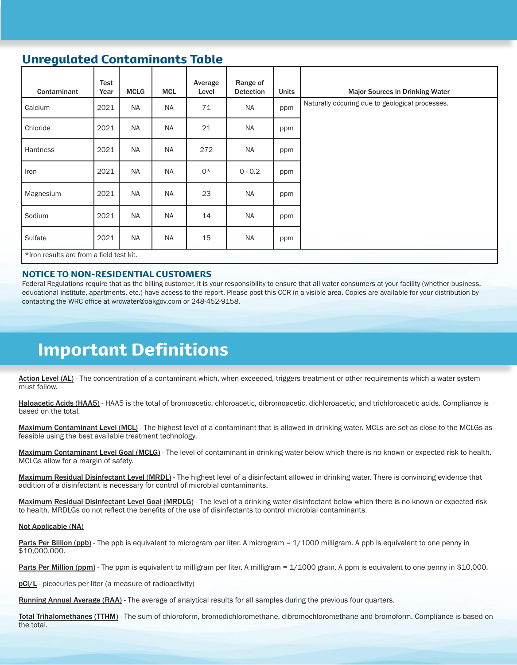## Unregulated Contaminants Table

| Contaminant                              | Test<br>Year | <b>MCLG</b> | <b>MCL</b> | Average<br>Level | Range of<br><b>Detection</b> | <b>Units</b> | <b>Major Sources in Drinking Water</b>          |
|------------------------------------------|--------------|-------------|------------|------------------|------------------------------|--------------|-------------------------------------------------|
| Calcium                                  | 2021         | <b>NA</b>   | <b>NA</b>  | 71               | <b>NA</b>                    | ppm          | Naturally occuring due to geological processes. |
| Chloride                                 | 2021         | <b>NA</b>   | <b>NA</b>  | 21               | <b>NA</b>                    | ppm          |                                                 |
| Hardness                                 | 2021         | <b>NA</b>   | <b>NA</b>  | 272              | <b>NA</b>                    | ppm          |                                                 |
| Iron                                     | 2021         | <b>NA</b>   | <b>NA</b>  | $0*$             | $0 - 0.2$                    | ppm          |                                                 |
| Magnesium                                | 2021         | <b>NA</b>   | <b>NA</b>  | 23               | <b>NA</b>                    | ppm          |                                                 |
| Sodium                                   | 2021         | <b>NA</b>   | <b>NA</b>  | 14               | <b>NA</b>                    | ppm          |                                                 |
| Sulfate                                  | 2021         | <b>NA</b>   | <b>NA</b>  | 15               | <b>NA</b>                    | ppm          |                                                 |
| *Iron results are from a field test kit. |              |             |            |                  |                              |              |                                                 |

#### NOTICE TO NON-RESIDENTIAL CUSTOMERS

Federal Regulations require that as the billing customer, it is your responsibility to ensure that all water consumers at your facility (whether business, educational institute, apartments, etc.) have access to the report. Please post this CCR in a visible area. Copies are available for your distribution by contacting the WRC office at wrcwater@oakgov.com or 248-452-9158.

## Important Definitions

Action Level (AL) - The concentration of a contaminant which, when exceeded, triggers treatment or other requirements which a water system must follow.

Haloacetic Acids (HAA5) - HAA5 is the total of bromoacetic, chloroacetic, dibromoacetic, dichloroacetic, and trichloroacetic acids. Compliance is based on the total.

Maximum Contaminant Level (MCL) - The highest level of a contaminant that is allowed in drinking water. MCLs are set as close to the MCLGs as feasible using the best available treatment technology.

Maximum Contaminant Level Goal (MCLG) - The level of contaminant in drinking water below which there is no known or expected risk to health. MCLGs allow for a margin of safety.

Maximum Residual Disinfectant Level (MRDL) - The highest level of a disinfectant allowed in drinking water. There is convincing evidence that addition of a disinfectant is necessary for control of microbial contaminants.

Maximum Residual Disinfectant Level Goal (MRDLG) - The level of a drinking water disinfectant below which there is no known or expected risk to health. MRDLGs do not reflect the benefits of the use of disinfectants to control microbial contaminants.

#### Not Applicable (NA)

Parts Per Billion (ppb) - The ppb is equivalent to microgram per liter. A microgram = 1/1000 milligram. A ppb is equivalent to one penny in \$10,000,000.

Parts Per Million (ppm) - The ppm is equivalent to milligram per liter. A milligram = 1/1000 gram. A ppm is equivalent to one penny in \$10,000.

pCi/L - picocuries per liter (a measure of radioactivity)

Running Annual Average (RAA) - The average of analytical results for all samples during the previous four quarters.

Total Trihalomethanes (TTHM) - The sum of chloroform, bromodichloromethane, dibromochloromethane and bromoform. Compliance is based on the total.